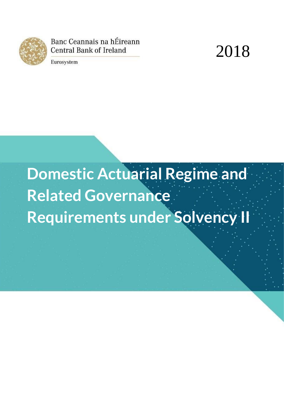

Banc Ceannais na hÉireann **Central Bank of Ireland** 



Eurosystem

# **Domestic Actuarial Regime and Related Governance Requirements under Solvency II**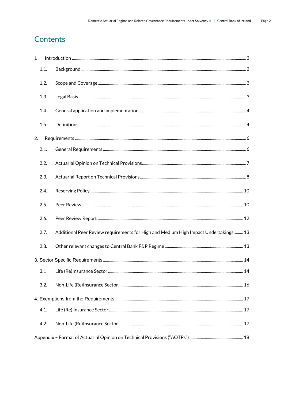# Contents

| 1  |      |                                                                                      |  |
|----|------|--------------------------------------------------------------------------------------|--|
|    | 1.1. |                                                                                      |  |
|    | 1.2. |                                                                                      |  |
|    | 1.3. |                                                                                      |  |
|    | 1.4. |                                                                                      |  |
|    | 1.5. |                                                                                      |  |
| 2. |      |                                                                                      |  |
|    | 2.1. |                                                                                      |  |
|    | 2.2. |                                                                                      |  |
|    | 2.3. |                                                                                      |  |
|    | 2.4. |                                                                                      |  |
|    | 2.5. |                                                                                      |  |
|    | 2.6. |                                                                                      |  |
|    | 2.7. | Additional Peer Review requirements for High and Medium High Impact Undertakings: 13 |  |
|    | 2.8. |                                                                                      |  |
|    |      |                                                                                      |  |
|    | 3.1  |                                                                                      |  |
|    | 3.2. |                                                                                      |  |
|    |      |                                                                                      |  |
|    | 4.1. |                                                                                      |  |
|    | 4.2. |                                                                                      |  |
|    |      |                                                                                      |  |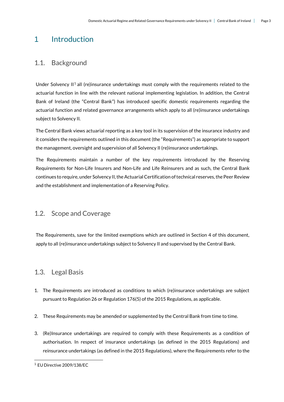# <span id="page-2-0"></span>1 Introduction

## <span id="page-2-1"></span>1.1. Background

Under Solvency II<sup>1</sup> all (re)insurance undertakings must comply with the requirements related to the actuarial function in line with the relevant national implementing legislation. In addition, the Central Bank of Ireland (the "Central Bank") has introduced specific domestic requirements regarding the actuarial function and related governance arrangements which apply to all (re)insurance undertakings subject to Solvency II.

The Central Bank views actuarial reporting as a key tool in its supervision of the insurance industry and it considers the requirements outlined in this document (the "Requirements") as appropriate to support the management, oversight and supervision of all Solvency II (re)insurance undertakings.

The Requirements maintain a number of the key requirements introduced by the Reserving Requirements for Non-Life Insurers and Non-Life and Life Reinsurers and as such, the Central Bank continues to require, under Solvency II, the Actuarial Certification of technical reserves, the Peer Review and the establishment and implementation of a Reserving Policy.

## <span id="page-2-2"></span>1.2. Scope and Coverage

The Requirements, save for the limited exemptions which are outlined in Section 4 of this document, apply to all (re)insurance undertakings subject to Solvency II and supervised by the Central Bank.

## <span id="page-2-3"></span>1.3. Legal Basis

- 1. The Requirements are introduced as conditions to which (re)insurance undertakings are subject pursuant to Regulation 26 or Regulation 176(5) of the 2015 Regulations, as applicable.
- 2. These Requirements may be amended or supplemented by the Central Bank from time to time.
- 3. (Re)Insurance undertakings are required to comply with these Requirements as a condition of authorisation. In respect of insurance undertakings (as defined in the 2015 Regulations) and reinsurance undertakings (as defined in the 2015 Regulations), where the Requirements refer to the

<u>.</u>

<sup>1</sup> EU Directive 2009/138/EC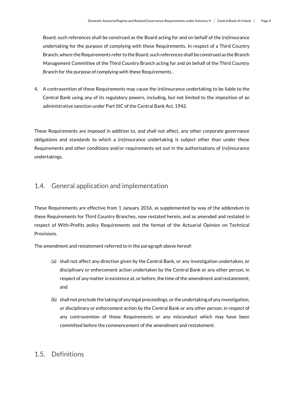Board, such references shall be construed as the Board acting for and on behalf of the (re)insurance undertaking for the purpose of complying with these Requirements. In respect of a Third Country Branch, where the Requirements refer to the Board, such references shall be construed as the Branch Management Committee of the Third Country Branch acting for and on behalf of the Third Country Branch for the purpose of complying with these Requirements. .

4. A contravention of these Requirements may cause the (re)insurance undertaking to be liable to the Central Bank using any of its regulatory powers, including, but not limited to the imposition of an administrative sanction under Part IIIC of the Central Bank Act, 1942.

These Requirements are imposed in addition to, and shall not affect, any other corporate governance obligations and standards to which a (re)insurance undertaking is subject other than under these Requirements and other conditions and/or requirements set out in the authorisations of (re)insurance undertakings.

## <span id="page-3-0"></span>1.4. General application and implementation

These Requirements are effective from 1 January 2016, as supplemented by way of the addendum to these Requirements for Third Country Branches, now restated herein, and as amended and restated in respect of With-Profits policy Requirements and the format of the Actuarial Opinion on Technical Provisions.

The amendment and restatement referred to in the paragraph above hereof:

- (a) shall not affect any direction given by the Central Bank, or any investigation undertaken, or disciplinary or enforcement action undertaken by the Central Bank or any other person, in respect of any matter in existence at, or before, the time of the amendment and restatement; and
- (b) shall not preclude the taking of any legal proceedings, or the undertaking of any investigation, or disciplinary or enforcement action by the Central Bank or any other person, in respect of any contravention of those Requirements or any misconduct which may have been committed before the commencement of the amendment and restatement.

## <span id="page-3-1"></span>1.5. Definitions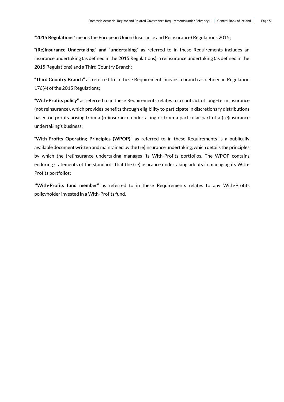**"2015 Regulations"** means the European Union (Insurance and Reinsurance) Regulations 2015;

"**(Re)Insurance Undertaking" and "undertaking"** as referred to in these Requirements includes an insurance undertaking (as defined in the 2015 Regulations), a reinsurance undertaking (as defined in the 2015 Regulations) and a Third Country Branch;

"**Third Country Branch"** as referred to in these Requirements means a branch as defined in Regulation 176(4) of the 2015 Regulations;

"**With-Profits policy"** as referred to in these Requirements relates to a contract of long–term insurance (not reinsurance), which provides benefits through eligibility to participate in discretionary distributions based on profits arising from a (re)insurance undertaking or from a particular part of a (re)insurance undertaking's business;

"**With-Profits Operating Principles (WPOP)"** as referred to in these Requirements is a publically available document written and maintained by the (re)insurance undertaking, which details the principles by which the (re)insurance undertaking manages its With-Profits portfolios. The WPOP contains enduring statements of the standards that the (re)insurance undertaking adopts in managing its With-Profits portfolios;

**"With-Profits fund member"** as referred to in these Requirements relates to any With-Profits policyholder invested in a With-Profits fund.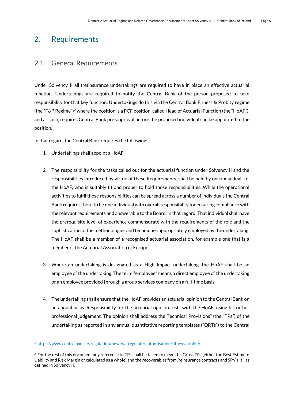# <span id="page-5-0"></span>2. Requirements

## <span id="page-5-1"></span>2.1. General Requirements

Under Solvency II all (re)insurance undertakings are required to have in place an effective actuarial function. Undertakings are required to notify the Central Bank of the person proposed to take responsibility for that key function. Undertakings do this via the Central Bank Fitness & Probity regime (the "F&P Regime")<sup>2</sup> where the position is a PCF position, called Head of Actuarial Function (the "HoAF"), and as such, requires Central Bank pre-approval before the proposed individual can be appointed to the position.

In that regard, the Central Bank requires the following:

- 1. Undertakings shall appoint a HoAF.
- 2. The responsibility for the tasks called out for the actuarial function under Solvency II and the responsibilities introduced by virtue of these Requirements, shall be held by one individual, i.e. the HoAF, who is suitably fit and proper to hold those responsibilities. While the operational activities to fulfil those responsibilities can be spread across a number of individuals the Central Bank requires there to be one individual with overall responsibility for ensuring compliance with the relevant requirements and answerable to the Board, in that regard. That individual shall have the prerequisite level of experience commensurate with the requirements of the role and the sophistication of the methodologies and techniques appropriately employed by the undertaking. The HoAF shall be a member of a recognised actuarial association, for example one that is a member of the Actuarial Association of Europe.
- 3. Where an undertaking is designated as a High Impact undertaking, the HoAF shall be an employee of the undertaking. The term "employee" means a direct employee of the undertaking or an employee provided through a group services company on a full-time basis.
- 4. The undertaking shall ensure that the HoAF provides an actuarial opinion to the Central Bank on an annual basis. Responsibility for the actuarial opinion rests with the HoAF, using his or her professional judgement. The opinion shall address the Technical Provisions<sup>3</sup> (the "TPs") of the undertaking as reported in any annual quantitative reporting templates ("QRTs") to the Central

<u>.</u>

<sup>2</sup> <https://www.centralbank.ie/regulation/how-we-regulate/authorisation/fitness-probity>

 $3$  For the rest of this document any reference to TPs shall be taken to mean the Gross TPs (either the Best Estimate Liability and Risk Margin or calculated as a whole) and the recoverables from Reinsurance contracts and SPV's, all as defined in Solvency II.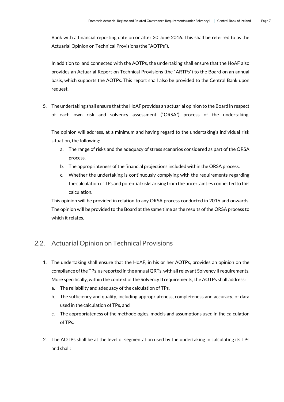Bank with a financial reporting date on or after 30 June 2016. This shall be referred to as the Actuarial Opinion on Technical Provisions (the "AOTPs").

In addition to, and connected with the AOTPs, the undertaking shall ensure that the HoAF also provides an Actuarial Report on Technical Provisions (the "ARTPs") to the Board on an annual basis, which supports the AOTPs. This report shall also be provided to the Central Bank upon request.

5. The undertaking shall ensure that the HoAF provides an actuarial opinion to the Board in respect of each own risk and solvency assessment ("ORSA") process of the undertaking.

The opinion will address, at a minimum and having regard to the undertaking's individual risk situation, the following:

- a. The range of risks and the adequacy of stress scenarios considered as part of the ORSA process.
- b. The appropriateness of the financial projections included within the ORSA process.
- c. Whether the undertaking is continuously complying with the requirements regarding the calculation of TPs and potential risks arising from the uncertainties connected to this calculation.

This opinion will be provided in relation to any ORSA process conducted in 2016 and onwards. The opinion will be provided to the Board at the same time as the results of the ORSA process to which it relates.

## <span id="page-6-0"></span>2.2. Actuarial Opinion on Technical Provisions

- 1. The undertaking shall ensure that the HoAF, in his or her AOTPs, provides an opinion on the compliance of the TPs, as reported in the annual QRTs, with all relevant Solvency II requirements. More specifically, within the context of the Solvency II requirements, the AOTPs shall address:
	- a. The reliability and adequacy of the calculation of TPs,
	- b. The sufficiency and quality, including appropriateness, completeness and accuracy, of data used in the calculation of TPs, and
	- c. The appropriateness of the methodologies, models and assumptions used in the calculation of TPs.
- 2. The AOTPs shall be at the level of segmentation used by the undertaking in calculating its TPs and shall: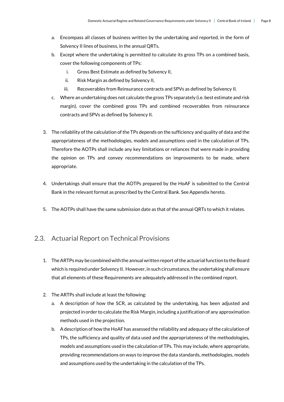- a. Encompass all classes of business written by the undertaking and reported, in the form of Solvency II lines of business, in the annual QRTs.
- b. Except where the undertaking is permitted to calculate its gross TPs on a combined basis, cover the following components of TPs:
	- i. Gross Best Estimate as defined by Solvency II,
	- ii. Risk Margin as defined by Solvency II,
	- iii. Recoverables from Reinsurance contracts and SPVs as defined by Solvency II.
- c. Where an undertaking does not calculate the gross TPs separately (i.e. best estimate and risk margin), cover the combined gross TPs and combined recoverables from reinsurance contracts and SPVs as defined by Solvency II.
- 3. The reliability of the calculation of the TPs depends on the sufficiency and quality of data and the appropriateness of the methodologies, models and assumptions used in the calculation of TPs. Therefore the AOTPs shall include any key limitations or reliances that were made in providing the opinion on TPs and convey recommendations on improvements to be made, where appropriate.
- 4. Undertakings shall ensure that the AOTPs prepared by the HoAF is submitted to the Central Bank in the relevant format as prescribed by the Central Bank. See Appendix hereto.
- 5. The AOTPs shall have the same submission date as that of the annual QRTs to which it relates.

## <span id="page-7-0"></span>2.3. Actuarial Report on Technical Provisions

- 1. The ARTPs may be combined with the annual written report of the actuarial function to the Board which is required under Solvency II. However, in such circumstance, the undertaking shall ensure that all elements of these Requirements are adequately addressed in the combined report.
- 2. The ARTPs shall include at least the following:
	- a. A description of how the SCR, as calculated by the undertaking, has been adjusted and projected in order to calculate the Risk Margin, including a justification of any approximation methods used in the projection.
	- b. A description of how the HoAF has assessed the reliability and adequacy of the calculation of TPs, the sufficiency and quality of data used and the appropriateness of the methodologies, models and assumptions used in the calculation of TPs. This may include, where appropriate, providing recommendations on ways to improve the data standards, methodologies, models and assumptions used by the undertaking in the calculation of the TPs.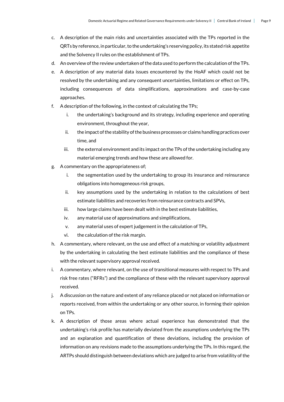- c. A description of the main risks and uncertainties associated with the TPs reported in the QRTs by reference, in particular, to the undertaking's reserving policy, its stated risk appetite and the Solvency II rules on the establishment of TPs.
- d. An overview of the review undertaken of the data used to perform the calculation of the TPs.
- e. A description of any material data issues encountered by the HoAF which could not be resolved by the undertaking and any consequent uncertainties, limitations or effect on TPs, including consequences of data simplifications, approximations and case-by-case approaches.
- f. A description of the following, in the context of calculating the TPs;
	- i. the undertaking's background and its strategy, including experience and operating environment, throughout the year,
	- ii. the impact of the stability of the business processes or claims handling practices over time, and
	- iii. the external environment and its impact on the TPs of the undertaking including any material emerging trends and how these are allowed for.
- g. A commentary on the appropriateness of;
	- i. the segmentation used by the undertaking to group its insurance and reinsurance obligations into homogeneous risk groups,
	- ii. key assumptions used by the undertaking in relation to the calculations of best estimate liabilities and recoveries from reinsurance contracts and SPVs,
	- iii. how large claims have been dealt with in the best estimate liabilities,
	- iv. any material use of approximations and simplifications,
	- v. any material uses of expert judgement in the calculation of TPs,
	- vi. the calculation of the risk margin.
- h. A commentary, where relevant, on the use and effect of a matching or volatility adjustment by the undertaking in calculating the best estimate liabilities and the compliance of these with the relevant supervisory approval received.
- i. A commentary, where relevant, on the use of transitional measures with respect to TPs and risk free rates ("RFRs") and the compliance of these with the relevant supervisory approval received.
- j. A discussion on the nature and extent of any reliance placed or not placed on information or reports received, from within the undertaking or any other source, in forming their opinion on TPs.
- k. A description of those areas where actual experience has demonstrated that the undertaking's risk profile has materially deviated from the assumptions underlying the TPs and an explanation and quantification of these deviations, including the provision of information on any revisions made to the assumptions underlying the TPs. In this regard, the ARTPs should distinguish between deviations which are judged to arise from volatility of the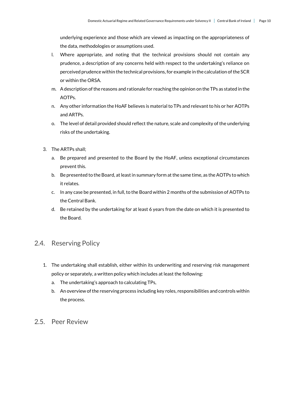underlying experience and those which are viewed as impacting on the appropriateness of the data, methodologies or assumptions used.

- l. Where appropriate, and noting that the technical provisions should not contain any prudence, a description of any concerns held with respect to the undertaking's reliance on perceived prudence within the technical provisions, for example in the calculation of the SCR or within the ORSA.
- m. A description of the reasons and rationale for reaching the opinion on the TPs as stated in the AOTPs.
- n. Any other information the HoAF believes is material to TPs and relevant to his or her AOTPs and ARTPs.
- o. The level of detail provided should reflect the nature, scale and complexity of the underlying risks of the undertaking.
- 3. The ARTPs shall;
	- a. Be prepared and presented to the Board by the HoAF, unless exceptional circumstances prevent this.
	- b. Be presented to the Board, at least in summary form at the same time, as the AOTPs to which it relates.
	- c. In any case be presented, in full, to the Board within 2 months of the submission of AOTPs to the Central Bank.
	- d. Be retained by the undertaking for at least 6 years from the date on which it is presented to the Board.

## <span id="page-9-0"></span>2.4. Reserving Policy

- 1. The undertaking shall establish, either within its underwriting and reserving risk management policy or separately, a written policy which includes at least the following:
	- a. The undertaking's approach to calculating TPs,
	- b. An overview of the reserving process including key roles, responsibilities and controls within the process.
- <span id="page-9-1"></span>2.5. Peer Review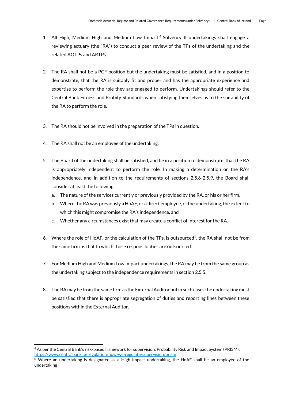- 1. All High, Medium High and Medium Low Impact <sup>4</sup> Solvency II undertakings shall engage a reviewing actuary (the "RA") to conduct a peer review of the TPs of the undertaking and the related AOTPs and ARTPs.
- 2. The RA shall not be a PCF position but the undertaking must be satisfied, and in a position to demonstrate, that the RA is suitably fit and proper and has the appropriate experience and expertise to perform the role they are engaged to perform. Undertakings should refer to the Central Bank Fitness and Probity Standards when satisfying themselves as to the suitability of the RA to perform the role.
- 3. The RA should not be involved in the preparation of the TPs in question.
- 4. The RA shall not be an employee of the undertaking.
- 5. The Board of the undertaking shall be satisfied, and be in a position to demonstrate, that the RA is appropriately independent to perform the role. In making a determination on the RA's independence, and in addition to the requirements of sections 2.5.6-2.5.9, the Board shall consider at least the following:
	- a. The nature of the services currently or previously provided by the RA, or his or her firm,
	- b. Where the RA was previously a HoAF, or a direct employee, of the undertaking, the extent to which this might compromise the RA's independence, and
	- c. Whether any circumstances exist that may create a conflict of interest for the RA.
- 6. Where the role of HoAF, or the calculation of the TPs, is outsourced<sup>5</sup>, the RA shall not be from the same firm as that to which those responsibilities are outsourced.
- 7. For Medium High and Medium Low Impact undertakings, the RA may be from the same group as the undertaking subject to the independence requirements in section 2.5.5.
- 8. The RA may be from the same firm as the External Auditor but in such cases the undertaking must be satisfied that there is appropriate segregation of duties and reporting lines between these positions within the External Auditor.

.

<sup>4</sup> As per the Central Bank's risk-based framework for supervision, Probability Risk and Impact System (PRISM). <https://www.centralbank.ie/regulation/how-we-regulate/supervision/prism>

<sup>5</sup> Where an undertaking is designated as a High Impact undertaking, the HoAF shall be an employee of the undertaking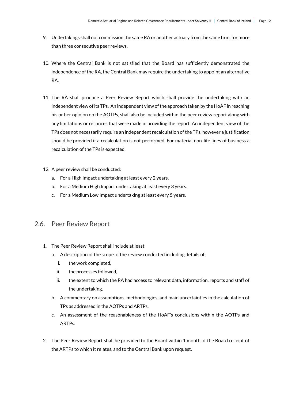- 9. Undertakings shall not commission the same RA or another actuary from the same firm, for more than three consecutive peer reviews.
- 10. Where the Central Bank is not satisfied that the Board has sufficiently demonstrated the independence of the RA, the Central Bank may require the undertaking to appoint an alternative RA.
- 11. The RA shall produce a Peer Review Report which shall provide the undertaking with an independent view of its TPs. An independent view of the approach taken by the HoAF in reaching his or her opinion on the AOTPs, shall also be included within the peer review report along with any limitations or reliances that were made in providing the report. An independent view of the TPs does not necessarily require an independent recalculation of the TPs, however a justification should be provided if a recalculation is not performed. For material non-life lines of business a recalculation of the TPs is expected.
- 12. A peer review shall be conducted:
	- a. For a High Impact undertaking at least every 2 years.
	- b. For a Medium High Impact undertaking at least every 3 years.
	- c. For a Medium Low Impact undertaking at least every 5 years.

### <span id="page-11-0"></span>2.6. Peer Review Report

- 1. The Peer Review Report shall include at least;
	- a. A description of the scope of the review conducted including details of;
		- i. the work completed,
		- ii. the processes followed,
		- iii. the extent to which the RA had access to relevant data, information, reports and staff of the undertaking.
	- b. A commentary on assumptions, methodologies, and main uncertainties in the calculation of TPs as addressed in the AOTPs and ARTPs.
	- c. An assessment of the reasonableness of the HoAF's conclusions within the AOTPs and ARTPs.
- 2. The Peer Review Report shall be provided to the Board within 1 month of the Board receipt of the ARTPs to which it relates, and to the Central Bank upon request.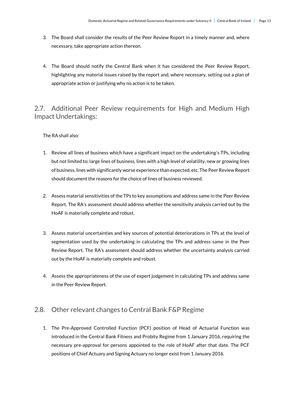- 3. The Board shall consider the results of the Peer Review Report in a timely manner and, where necessary, take appropriate action thereon.
- 4. The Board should notify the Central Bank when it has considered the Peer Review Report, highlighting any material issues raised by the report and, where necessary, setting out a plan of appropriate action or justifying why no action is to be taken.

## <span id="page-12-0"></span>2.7. Additional Peer Review requirements for High and Medium High Impact Undertakings:

The RA shall also:

- 1. Review all lines of business which have a significant impact on the undertaking's TPs, including but not limited to; large lines of business, lines with a high level of volatility, new or growing lines of business, lines with significantly worse experience than expected, etc. The Peer Review Report should document the reasons for the choice of lines of business reviewed.
- 2. Assess material sensitivities of the TPs to key assumptions and address same in the Peer Review Report. The RA's assessment should address whether the sensitivity analysis carried out by the HoAF is materially complete and robust.
- 3. Assess material uncertainties and key sources of potential deteriorations in TPs at the level of segmentation used by the undertaking in calculating the TPs and address same in the Peer Review Report. The RA's assessment should address whether the uncertainty analysis carried out by the HoAF is materially complete and robust.
- 4. Assess the appropriateness of the use of expert judgement in calculating TPs and address same in the Peer Review Report.

## <span id="page-12-1"></span>2.8. Other relevant changes to Central Bank F&P Regime

1. The Pre-Approved Controlled Function (PCF) position of Head of Actuarial Function was introduced in the Central Bank Fitness and Probity Regime from 1 January 2016, requiring the necessary pre-approval for persons appointed to the role of HoAF after that date. The PCF positions of Chief Actuary and Signing Actuary no longer exist from 1 January 2016.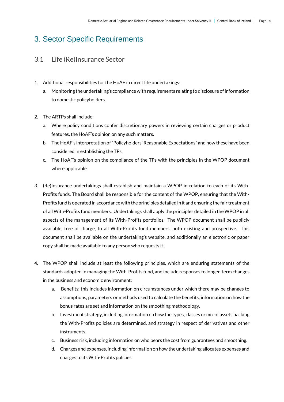# <span id="page-13-0"></span>3. Sector Specific Requirements

## <span id="page-13-1"></span>3.1 Life (Re)Insurance Sector

- 1. Additional responsibilities for the HoAF in direct life undertakings:
	- a. Monitoring the undertaking's compliance with requirements relating to disclosure of information to domestic policyholders.
- 2. The ARTPs shall include:
	- a. Where policy conditions confer discretionary powers in reviewing certain charges or product features, the HoAF's opinion on any such matters.
	- b. The HoAF's interpretation of "Policyholders' Reasonable Expectations" and how these have been considered in establishing the TPs.
	- c. The HoAF's opinion on the compliance of the TPs with the principles in the WPOP document where applicable.
- 3. (Re)Insurance undertakings shall establish and maintain a WPOP in relation to each of its With-Profits funds. The Board shall be responsible for the content of the WPOP, ensuring that the With-Profits fund is operated in accordance with the principles detailed in it and ensuring the fair treatment of all With-Profits fund members. Undertakings shall apply the principles detailed in the WPOP in all aspects of the management of its With-Profits portfolios. The WPOP document shall be publicly available, free of charge, to all With-Profits fund members, both existing and prospective. This document shall be available on the undertaking's website, and additionally an electronic or paper copy shall be made available to any person who requests it.
- 4. The WPOP shall include at least the following principles, which are enduring statements of the standards adopted in managing the With-Profits fund, and include responses to longer-term changes in the business and economic environment:
	- a. Benefits: this includes information on circumstances under which there may be changes to assumptions, parameters or methods used to calculate the benefits, information on how the bonus rates are set and information on the smoothing methodology.
	- b. Investment strategy, including information on how the types, classes or mix of assets backing the With-Profits policies are determined, and strategy in respect of derivatives and other instruments.
	- c. Business risk, including information on who bears the cost from guarantees and smoothing.
	- d. Charges and expenses, including information on how the undertaking allocates expenses and charges to its With-Profits policies.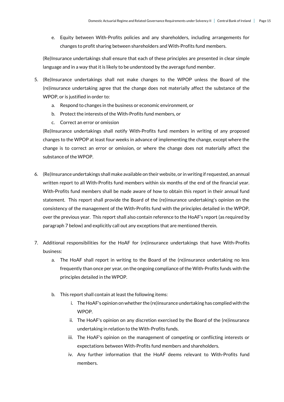e. Equity between With-Profits policies and any shareholders, including arrangements for changes to profit sharing between shareholders and With-Profits fund members.

(Re)Insurance undertakings shall ensure that each of these principles are presented in clear simple language and in a way that it is likely to be understood by the average fund member.

- 5. (Re)Insurance undertakings shall not make changes to the WPOP unless the Board of the (re)insurance undertaking agree that the change does not materially affect the substance of the WPOP, or is justified in order to:
	- a. Respond to changes in the business or economic environment, or
	- b. Protect the interests of the With-Profits fund members, or
	- c. Correct an error or omission

(Re)Insurance undertakings shall notify With-Profits fund members in writing of any proposed changes to the WPOP at least four weeks in advance of implementing the change, except where the change is to correct an error or omission, or where the change does not materially affect the substance of the WPOP.

- 6. (Re)Insurance undertakings shall make available on their website, or in writing if requested, an annual written report to all With-Profits fund members within six months of the end of the financial year. With-Profits fund members shall be made aware of how to obtain this report in their annual fund statement. This report shall provide the Board of the (re)insurance undertaking's opinion on the consistency of the management of the With-Profits fund with the principles detailed in the WPOP, over the previous year. This report shall also contain reference to the HoAF's report (as required by paragraph 7 below) and explicitly call out any exceptions that are mentioned therein.
- 7. Additional responsibilities for the HoAF for (re)insurance undertakings that have With-Profits business:
	- a. The HoAF shall report in writing to the Board of the (re)insurance undertaking no less frequently than once per year, on the ongoing compliance of the With-Profits funds with the principles detailed in the WPOP.
	- b. This report shall contain at least the following items:
		- i. The HoAF's opinion on whether the (re)insurance undertaking has complied with the WPOP.
		- ii. The HoAF's opinion on any discretion exercised by the Board of the (re)insurance undertaking in relation to the With-Profits funds.
		- iii. The HoAF's opinion on the management of competing or conflicting interests or expectations between With-Profits fund members and shareholders.
		- iv. Any further information that the HoAF deems relevant to With-Profits fund members.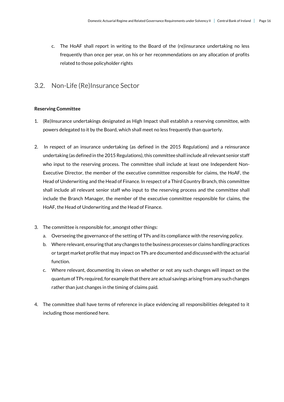c. The HoAF shall report in writing to the Board of the (re)insurance undertaking no less frequently than once per year, on his or her recommendations on any allocation of profits related to those policyholder rights

## <span id="page-15-0"></span>3.2. Non-Life (Re)Insurance Sector

#### **Reserving Committee**

- 1. (Re)Insurance undertakings designated as High Impact shall establish a reserving committee, with powers delegated to it by the Board, which shall meet no less frequently than quarterly.
- 2. In respect of an insurance undertaking (as defined in the 2015 Regulations) and a reinsurance undertaking (as defined in the 2015 Regulations), this committee shall include all relevant senior staff who input to the reserving process. The committee shall include at least one Independent Non-Executive Director, the member of the executive committee responsible for claims, the HoAF, the Head of Underwriting and the Head of Finance. In respect of a Third Country Branch, this committee shall include all relevant senior staff who input to the reserving process and the committee shall include the Branch Manager, the member of the executive committee responsible for claims, the HoAF, the Head of Underwriting and the Head of Finance.
- 3. The committee is responsible for, amongst other things:
	- a. Overseeing the governance of the setting of TPs and its compliance with the reserving policy.
	- b. Where relevant, ensuring that any changes to the business processes or claims handling practices or target market profile that may impact on TPs are documented and discussed with the actuarial function.
	- c. Where relevant, documenting its views on whether or not any such changes will impact on the quantum of TPs required, for example that there are actual savings arising from any such changes rather than just changes in the timing of claims paid.
- 4. The committee shall have terms of reference in place evidencing all responsibilities delegated to it including those mentioned here.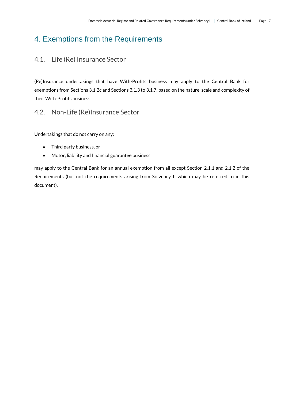# <span id="page-16-0"></span>4. Exemptions from the Requirements

## <span id="page-16-1"></span>4.1. Life (Re) Insurance Sector

(Re)Insurance undertakings that have With-Profits business may apply to the Central Bank for exemptions from Sections 3.1.2c and Sections 3.1.3 to 3.1.7, based on the nature, scale and complexity of their With-Profits business.

## <span id="page-16-2"></span>4.2. Non-Life (Re)Insurance Sector

Undertakings that do not carry on any:

- Third party business, or
- Motor, liability and financial guarantee business

may apply to the Central Bank for an annual exemption from all except Section 2.1.1 and 2.1.2 of the Requirements (but not the requirements arising from Solvency II which may be referred to in this document).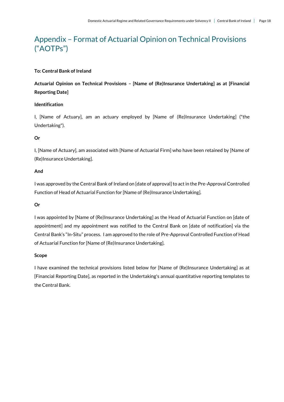# <span id="page-17-0"></span>Appendix – Format of Actuarial Opinion on Technical Provisions ("AOTPs")

#### **To: Central Bank of Ireland**

**Actuarial Opinion on Technical Provisions – [Name of (Re)Insurance Undertaking] as at [Financial Reporting Date]**

#### **Identification**

I, [Name of Actuary], am an actuary employed by [Name of (Re)Insurance Undertaking] ("the Undertaking").

#### **Or**

I, [Name of Actuary], am associated with [Name of Actuarial Firm] who have been retained by [Name of (Re)Insurance Undertaking].

#### **And**

I was approved by the Central Bank of Ireland on [date of approval] to act in the Pre-Approval Controlled Function of Head of Actuarial Function for [Name of (Re)Insurance Undertaking].

#### **Or**

I was appointed by [Name of (Re)Insurance Undertaking] as the Head of Actuarial Function on [date of appointment] and my appointment was notified to the Central Bank on [date of notification] via the Central Bank's "In-Situ" process. I am approved to the role of Pre-Approval Controlled Function of Head of Actuarial Function for [Name of (Re)Insurance Undertaking].

#### **Scope**

I have examined the technical provisions listed below for [Name of (Re)Insurance Undertaking] as at [Financial Reporting Date], as reported in the Undertaking's annual quantitative reporting templates to the Central Bank.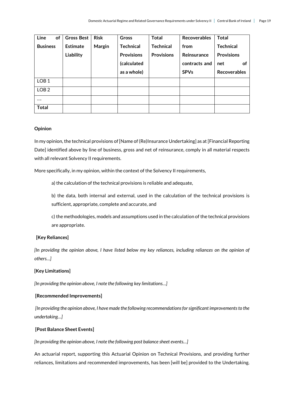| Line<br><b>of</b> | <b>Gross Best</b> | <b>Risk</b> | Gross             | <b>Total</b>      | <b>Recoverables</b> | <b>Total</b>        |
|-------------------|-------------------|-------------|-------------------|-------------------|---------------------|---------------------|
| <b>Business</b>   | <b>Estimate</b>   | Margin      | <b>Technical</b>  | <b>Technical</b>  | from                | <b>Technical</b>    |
|                   | Liability         |             | <b>Provisions</b> | <b>Provisions</b> | Reinsurance         | <b>Provisions</b>   |
|                   |                   |             | (calculated       |                   | contracts and       | <b>of</b><br>net    |
|                   |                   |             | as a whole)       |                   | <b>SPVs</b>         | <b>Recoverables</b> |
| LOB <sub>1</sub>  |                   |             |                   |                   |                     |                     |
| LOB <sub>2</sub>  |                   |             |                   |                   |                     |                     |
|                   |                   |             |                   |                   |                     |                     |
| <b>Total</b>      |                   |             |                   |                   |                     |                     |

#### **Opinion**

In my opinion, the technical provisions of [Name of (Re)Insurance Undertaking] as at [Financial Reporting Date] identified above by line of business, gross and net of reinsurance, comply in all material respects with all relevant Solvency II requirements.

More specifically, in my opinion, within the context of the Solvency II requirements,

a) the calculation of the technical provisions is reliable and adequate,

b) the data, both internal and external, used in the calculation of the technical provisions is sufficient, appropriate, complete and accurate, and

c) the methodologies, models and assumptions used in the calculation of the technical provisions are appropriate.

#### **[Key Reliances]**

*[In providing the opinion above, I have listed below my key reliances, including reliances on the opinion of others…]*

#### **[Key Limitations]**

*[In providing the opinion above, I note the following key limitations…]*

#### **[Recommended Improvements]**

*[In providing the opinion above, I have made the following recommendations for significant improvements to the undertaking…]*

#### **[Post Balance Sheet Events]**

*[In providing the opinion above, I note the following post balance sheet events…]*

An actuarial report, supporting this Actuarial Opinion on Technical Provisions, and providing further reliances, limitations and recommended improvements, has been [will be] provided to the Undertaking.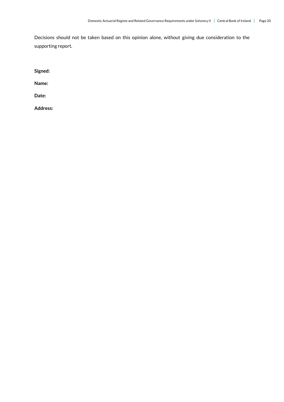Decisions should not be taken based on this opinion alone, without giving due consideration to the supporting report.

**Signed:** 

**Name:** 

**Date:** 

**Address:**